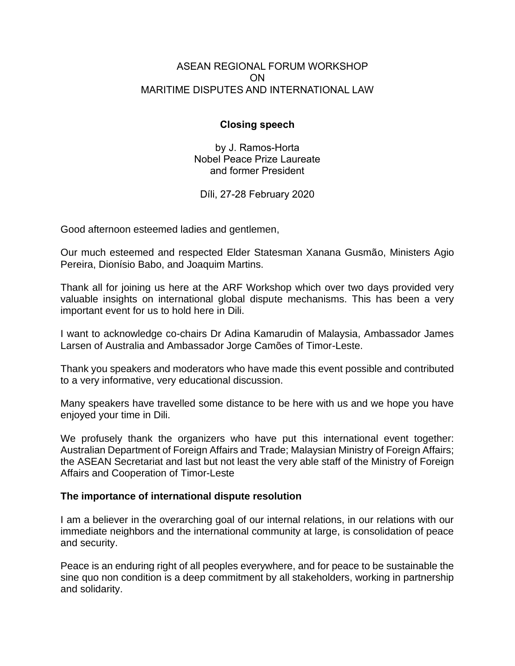## ASEAN REGIONAL FORUM WORKSHOP ON MARITIME DISPUTES AND INTERNATIONAL LAW

# **Closing speech**

by J. Ramos-Horta Nobel Peace Prize Laureate and former President

Díli, 27-28 February 2020

Good afternoon esteemed ladies and gentlemen,

Our much esteemed and respected Elder Statesman Xanana Gusmão, Ministers Agio Pereira, Dionísio Babo, and Joaquim Martins.

Thank all for joining us here at the ARF Workshop which over two days provided very valuable insights on international global dispute mechanisms. This has been a very important event for us to hold here in Dili.

I want to acknowledge co-chairs Dr Adina Kamarudin of Malaysia, Ambassador James Larsen of Australia and Ambassador Jorge Camões of Timor-Leste.

Thank you speakers and moderators who have made this event possible and contributed to a very informative, very educational discussion.

Many speakers have travelled some distance to be here with us and we hope you have enjoyed your time in Dili.

We profusely thank the organizers who have put this international event together: Australian Department of Foreign Affairs and Trade; Malaysian Ministry of Foreign Affairs; the ASEAN Secretariat and last but not least the very able staff of the Ministry of Foreign Affairs and Cooperation of Timor-Leste

## **The importance of international dispute resolution**

I am a believer in the overarching goal of our internal relations, in our relations with our immediate neighbors and the international community at large, is consolidation of peace and security.

Peace is an enduring right of all peoples everywhere, and for peace to be sustainable the sine quo non condition is a deep commitment by all stakeholders, working in partnership and solidarity.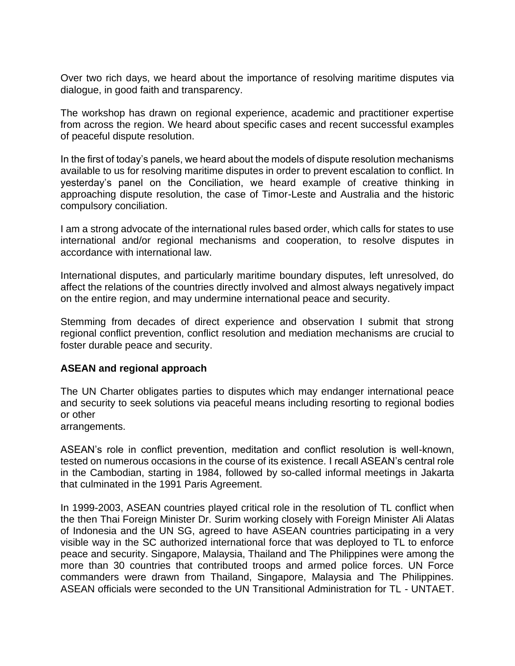Over two rich days, we heard about the importance of resolving maritime disputes via dialogue, in good faith and transparency.

The workshop has drawn on regional experience, academic and practitioner expertise from across the region. We heard about specific cases and recent successful examples of peaceful dispute resolution.

In the first of today's panels, we heard about the models of dispute resolution mechanisms available to us for resolving maritime disputes in order to prevent escalation to conflict. In yesterday's panel on the Conciliation, we heard example of creative thinking in approaching dispute resolution, the case of Timor-Leste and Australia and the historic compulsory conciliation.

I am a strong advocate of the international rules based order, which calls for states to use international and/or regional mechanisms and cooperation, to resolve disputes in accordance with international law.

International disputes, and particularly maritime boundary disputes, left unresolved, do affect the relations of the countries directly involved and almost always negatively impact on the entire region, and may undermine international peace and security.

Stemming from decades of direct experience and observation I submit that strong regional conflict prevention, conflict resolution and mediation mechanisms are crucial to foster durable peace and security.

## **ASEAN and regional approach**

The UN Charter obligates parties to disputes which may endanger international peace and security to seek solutions via peaceful means including resorting to regional bodies or other

arrangements.

ASEAN's role in conflict prevention, meditation and conflict resolution is well-known, tested on numerous occasions in the course of its existence. I recall ASEAN's central role in the Cambodian, starting in 1984, followed by so-called informal meetings in Jakarta that culminated in the 1991 Paris Agreement.

In 1999-2003, ASEAN countries played critical role in the resolution of TL conflict when the then Thai Foreign Minister Dr. Surim working closely with Foreign Minister Ali Alatas of Indonesia and the UN SG, agreed to have ASEAN countries participating in a very visible way in the SC authorized international force that was deployed to TL to enforce peace and security. Singapore, Malaysia, Thailand and The Philippines were among the more than 30 countries that contributed troops and armed police forces. UN Force commanders were drawn from Thailand, Singapore, Malaysia and The Philippines. ASEAN officials were seconded to the UN Transitional Administration for TL - UNTAET.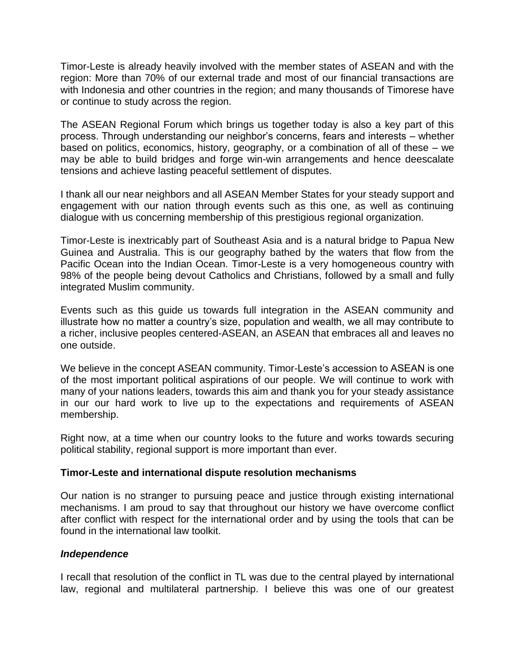Timor-Leste is already heavily involved with the member states of ASEAN and with the region: More than 70% of our external trade and most of our financial transactions are with Indonesia and other countries in the region; and many thousands of Timorese have or continue to study across the region.

The ASEAN Regional Forum which brings us together today is also a key part of this process. Through understanding our neighbor's concerns, fears and interests – whether based on politics, economics, history, geography, or a combination of all of these – we may be able to build bridges and forge win-win arrangements and hence deescalate tensions and achieve lasting peaceful settlement of disputes.

I thank all our near neighbors and all ASEAN Member States for your steady support and engagement with our nation through events such as this one, as well as continuing dialogue with us concerning membership of this prestigious regional organization.

Timor-Leste is inextricably part of Southeast Asia and is a natural bridge to Papua New Guinea and Australia. This is our geography bathed by the waters that flow from the Pacific Ocean into the Indian Ocean. Timor-Leste is a very homogeneous country with 98% of the people being devout Catholics and Christians, followed by a small and fully integrated Muslim community.

Events such as this guide us towards full integration in the ASEAN community and illustrate how no matter a country's size, population and wealth, we all may contribute to a richer, inclusive peoples centered-ASEAN, an ASEAN that embraces all and leaves no one outside.

We believe in the concept ASEAN community. Timor-Leste's accession to ASEAN is one of the most important political aspirations of our people. We will continue to work with many of your nations leaders, towards this aim and thank you for your steady assistance in our our hard work to live up to the expectations and requirements of ASEAN membership.

Right now, at a time when our country looks to the future and works towards securing political stability, regional support is more important than ever.

## **Timor-Leste and international dispute resolution mechanisms**

Our nation is no stranger to pursuing peace and justice through existing international mechanisms. I am proud to say that throughout our history we have overcome conflict after conflict with respect for the international order and by using the tools that can be found in the international law toolkit.

## *Independence*

I recall that resolution of the conflict in TL was due to the central played by international law, regional and multilateral partnership. I believe this was one of our greatest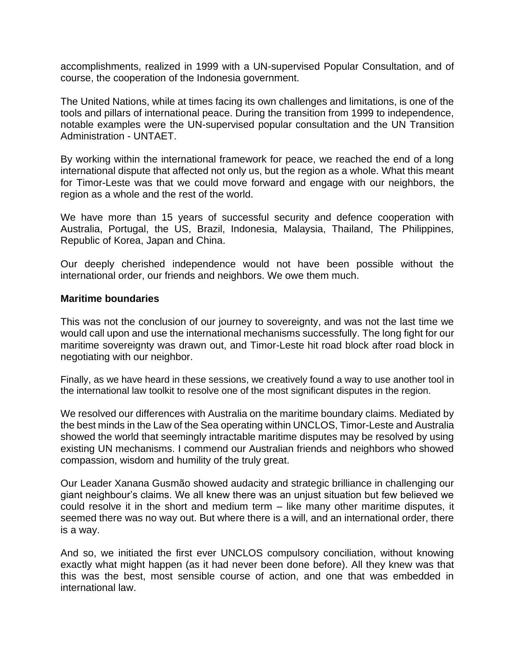accomplishments, realized in 1999 with a UN-supervised Popular Consultation, and of course, the cooperation of the Indonesia government.

The United Nations, while at times facing its own challenges and limitations, is one of the tools and pillars of international peace. During the transition from 1999 to independence, notable examples were the UN-supervised popular consultation and the UN Transition Administration - UNTAET.

By working within the international framework for peace, we reached the end of a long international dispute that affected not only us, but the region as a whole. What this meant for Timor-Leste was that we could move forward and engage with our neighbors, the region as a whole and the rest of the world.

We have more than 15 years of successful security and defence cooperation with Australia, Portugal, the US, Brazil, Indonesia, Malaysia, Thailand, The Philippines, Republic of Korea, Japan and China.

Our deeply cherished independence would not have been possible without the international order, our friends and neighbors. We owe them much.

#### **Maritime boundaries**

This was not the conclusion of our journey to sovereignty, and was not the last time we would call upon and use the international mechanisms successfully. The long fight for our maritime sovereignty was drawn out, and Timor-Leste hit road block after road block in negotiating with our neighbor.

Finally, as we have heard in these sessions, we creatively found a way to use another tool in the international law toolkit to resolve one of the most significant disputes in the region.

We resolved our differences with Australia on the maritime boundary claims. Mediated by the best minds in the Law of the Sea operating within UNCLOS, Timor-Leste and Australia showed the world that seemingly intractable maritime disputes may be resolved by using existing UN mechanisms. I commend our Australian friends and neighbors who showed compassion, wisdom and humility of the truly great.

Our Leader Xanana Gusmão showed audacity and strategic brilliance in challenging our giant neighbour's claims. We all knew there was an unjust situation but few believed we could resolve it in the short and medium term – like many other maritime disputes, it seemed there was no way out. But where there is a will, and an international order, there is a way.

And so, we initiated the first ever UNCLOS compulsory conciliation, without knowing exactly what might happen (as it had never been done before). All they knew was that this was the best, most sensible course of action, and one that was embedded in international law.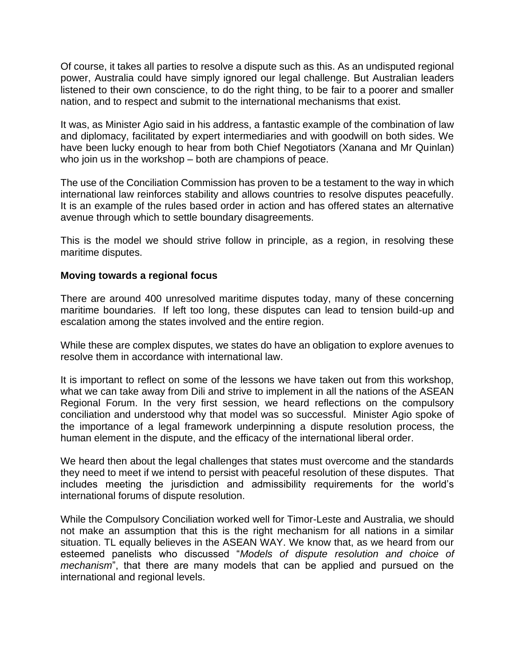Of course, it takes all parties to resolve a dispute such as this. As an undisputed regional power, Australia could have simply ignored our legal challenge. But Australian leaders listened to their own conscience, to do the right thing, to be fair to a poorer and smaller nation, and to respect and submit to the international mechanisms that exist.

It was, as Minister Agio said in his address, a fantastic example of the combination of law and diplomacy, facilitated by expert intermediaries and with goodwill on both sides. We have been lucky enough to hear from both Chief Negotiators (Xanana and Mr Quinlan) who join us in the workshop – both are champions of peace.

The use of the Conciliation Commission has proven to be a testament to the way in which international law reinforces stability and allows countries to resolve disputes peacefully. It is an example of the rules based order in action and has offered states an alternative avenue through which to settle boundary disagreements.

This is the model we should strive follow in principle, as a region, in resolving these maritime disputes.

#### **Moving towards a regional focus**

There are around 400 unresolved maritime disputes today, many of these concerning maritime boundaries. If left too long, these disputes can lead to tension build-up and escalation among the states involved and the entire region.

While these are complex disputes, we states do have an obligation to explore avenues to resolve them in accordance with international law.

It is important to reflect on some of the lessons we have taken out from this workshop, what we can take away from Dili and strive to implement in all the nations of the ASEAN Regional Forum. In the very first session, we heard reflections on the compulsory conciliation and understood why that model was so successful. Minister Agio spoke of the importance of a legal framework underpinning a dispute resolution process, the human element in the dispute, and the efficacy of the international liberal order.

We heard then about the legal challenges that states must overcome and the standards they need to meet if we intend to persist with peaceful resolution of these disputes. That includes meeting the jurisdiction and admissibility requirements for the world's international forums of dispute resolution.

While the Compulsory Conciliation worked well for Timor-Leste and Australia, we should not make an assumption that this is the right mechanism for all nations in a similar situation. TL equally believes in the ASEAN WAY. We know that, as we heard from our esteemed panelists who discussed "*Models of dispute resolution and choice of mechanism*", that there are many models that can be applied and pursued on the international and regional levels.